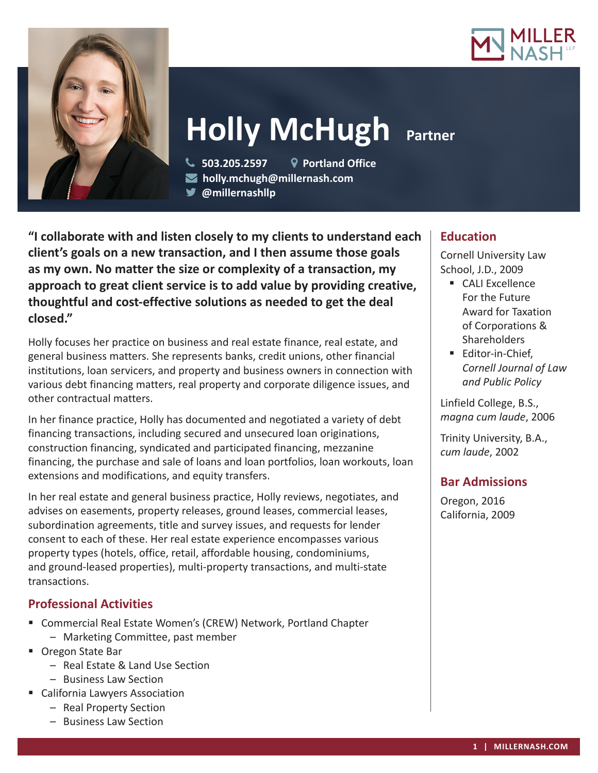



# **Holly McHugh Partner**

 **503.205.2597 Portland Office holly.mchugh@millernash.com** 

**@millernashllp** 

**"I collaborate with and listen closely to my clients to understand each client's goals on a new transaction, and I then assume those goals as my own. No matter the size or complexity of a transaction, my approach to great client service is to add value by providing creative, thoughtful and cost-effective solutions as needed to get the deal closed."**

Holly focuses her practice on business and real estate finance, real estate, and general business matters. She represents banks, credit unions, other financial institutions, loan servicers, and property and business owners in connection with various debt financing matters, real property and corporate diligence issues, and other contractual matters.

In her finance practice, Holly has documented and negotiated a variety of debt financing transactions, including secured and unsecured loan originations, construction financing, syndicated and participated financing, mezzanine financing, the purchase and sale of loans and loan portfolios, loan workouts, loan extensions and modifications, and equity transfers.

In her real estate and general business practice, Holly reviews, negotiates, and advises on easements, property releases, ground leases, commercial leases, subordination agreements, title and survey issues, and requests for lender consent to each of these. Her real estate experience encompasses various property types (hotels, office, retail, affordable housing, condominiums, and ground-leased properties), multi-property transactions, and multi-state transactions.

# **Professional Activities**

- Commercial Real Estate Women's (CREW) Network, Portland Chapter
	- Marketing Committee, past member
- Oregon State Bar
	- Real Estate & Land Use Section
	- Business Law Section
- California Lawyers Association
	- Real Property Section
	- Business Law Section

# **Education**

Cornell University Law School, J.D., 2009

- CALI Excellence For the Future Award for Taxation of Corporations & **Shareholders**
- **Editor-in-Chief.** *Cornell Journal of Law and Public Policy*

Linfield College, B.S., *magna cum laude*, 2006

Trinity University, B.A., *cum laude*, 2002

# **Bar Admissions**

Oregon, 2016 California, 2009